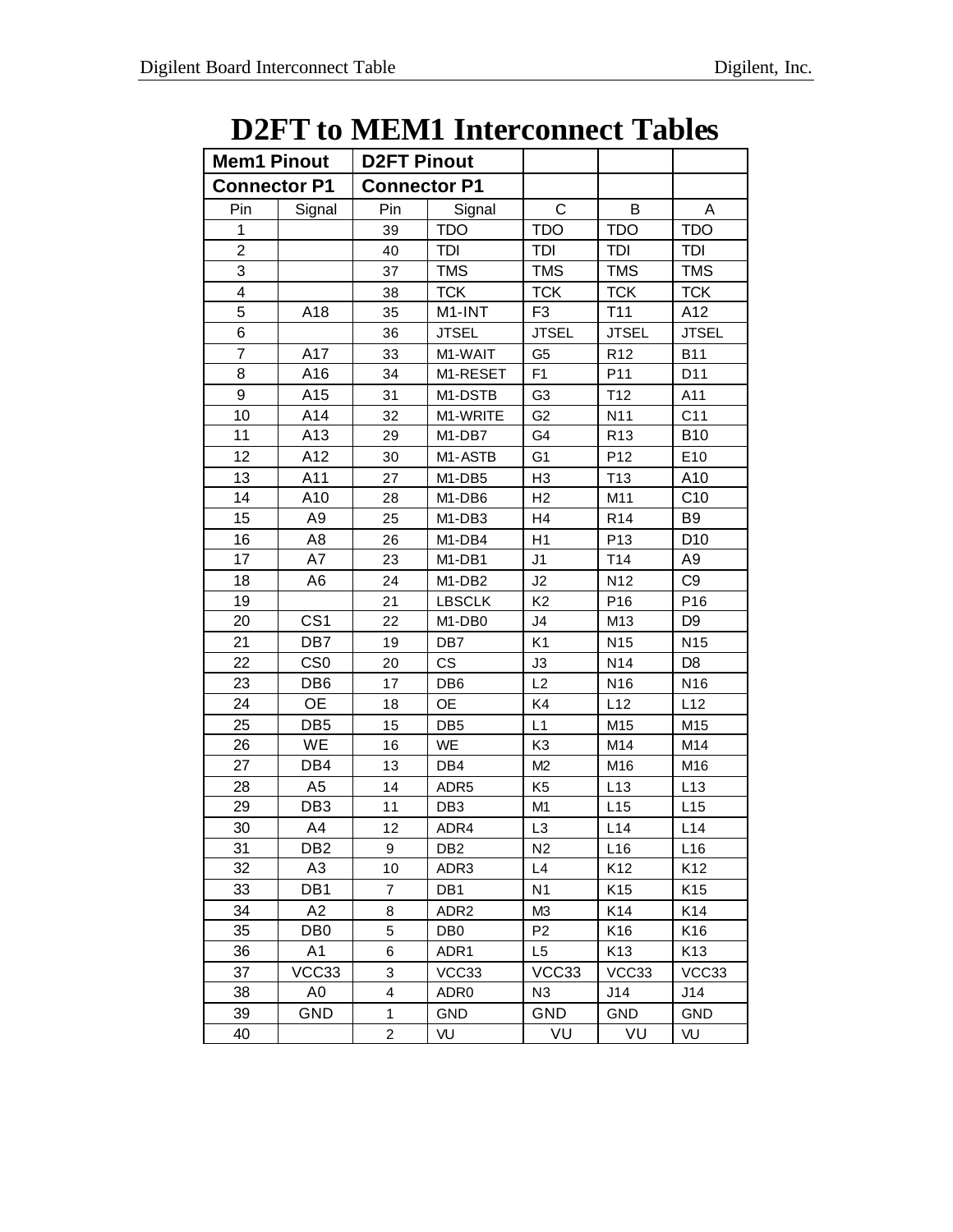## **D2FT to MEM1 Interconnect Tables**

| <b>Mem1 Pinout</b>  |                 | <b>D2FT Pinout</b>      |                                 |                |                 |                 |
|---------------------|-----------------|-------------------------|---------------------------------|----------------|-----------------|-----------------|
| <b>Connector P1</b> |                 | <b>Connector P1</b>     |                                 |                |                 |                 |
| Pin                 | Signal          | Pin                     | Signal                          | C              | В               | A               |
| 1                   |                 | 39                      | <b>TDO</b>                      | <b>TDO</b>     | <b>TDO</b>      | <b>TDO</b>      |
| $\overline{2}$      |                 | 40                      | TDI                             | TDI            | TDI             | TDI             |
| 3                   |                 | 37                      | <b>TMS</b>                      | <b>TMS</b>     | <b>TMS</b>      | <b>TMS</b>      |
| 4                   |                 | 38                      | <b>TCK</b>                      | <b>TCK</b>     | <b>TCK</b>      | <b>TCK</b>      |
| 5                   | A18             | 35                      | M1-INT                          | F <sub>3</sub> | T <sub>11</sub> | A12             |
| 6                   |                 | 36                      | <b>JTSEL</b>                    | <b>JTSEL</b>   | <b>JTSEL</b>    | <b>JTSEL</b>    |
| $\overline{7}$      | A17             | 33                      | M1-WAIT                         | G <sub>5</sub> | R <sub>12</sub> | <b>B11</b>      |
| 8                   | A16             | 34                      | M1-RESET                        | F <sub>1</sub> | P11             | D11             |
| 9                   | A15             | 31                      | M1-DSTB                         | G <sub>3</sub> | T <sub>12</sub> | A11             |
| 10                  | A14             | 32                      | M1-WRITE                        | G <sub>2</sub> | N11             | C <sub>11</sub> |
| 11                  | A13             | 29                      | M1-DB7                          | G4             | R <sub>13</sub> | <b>B10</b>      |
| 12                  | A12             | 30                      | M1-ASTB                         | G <sub>1</sub> | P <sub>12</sub> | E10             |
| 13                  | A11             | 27                      | M <sub>1</sub> -DB <sub>5</sub> | H <sub>3</sub> | T <sub>13</sub> | A10             |
| 14                  | A10             | 28                      | M1-DB6                          | H2             | M11             | C <sub>10</sub> |
| 15                  | A <sub>9</sub>  | 25                      | M1-DB3                          | H <sub>4</sub> | R <sub>14</sub> | B <sub>9</sub>  |
| 16                  | A8              | 26                      | M1-DB4                          | H1             | P <sub>13</sub> | D <sub>10</sub> |
| 17                  | A7              | 23                      | M1-DB1                          | J <sub>1</sub> | T14             | A <sub>9</sub>  |
| 18                  | A6              | 24                      | M1-DB2                          | J2             | N <sub>12</sub> | C <sub>9</sub>  |
| 19                  |                 | 21                      | <b>LBSCLK</b>                   | K <sub>2</sub> | P16             | P16             |
| 20                  | CS <sub>1</sub> | 22                      | M1-DB0                          | J4             | M <sub>13</sub> | D <sub>9</sub>  |
| 21                  | DB7             | 19                      | DB7                             | K <sub>1</sub> | N <sub>15</sub> | N <sub>15</sub> |
| 22                  | CS <sub>0</sub> | 20                      | <b>CS</b>                       | J3             | N14             | D <sub>8</sub>  |
| 23                  | DB6             | 17                      | DB <sub>6</sub>                 | L2             | N <sub>16</sub> | N <sub>16</sub> |
| 24                  | <b>OE</b>       | 18                      | 0E                              | K4             | L12             | L12             |
| 25                  | DB <sub>5</sub> | 15                      | DB <sub>5</sub>                 | L1             | M15             | M15             |
| 26                  | WE              | 16                      | WE                              | K <sub>3</sub> | M14             | M14             |
| 27                  | DB4             | 13                      | DB4                             | M2             | M16             | M16             |
| 28                  | A5              | 14                      | ADR5                            | K <sub>5</sub> | L13             | L13             |
| 29                  | DB <sub>3</sub> | 11                      | DB <sub>3</sub>                 | M <sub>1</sub> | L15             | L15             |
| 30                  | A4              | 12                      | ADR4                            | L <sub>3</sub> | L14             | L14             |
| 31                  | DB <sub>2</sub> | 9                       | DB <sub>2</sub>                 | N <sub>2</sub> | L16             | L16             |
| 32                  | A <sub>3</sub>  | 10                      | ADR3                            | L4             | K <sub>12</sub> | K <sub>12</sub> |
| 33                  | DB1             | 7                       | DB1                             | N <sub>1</sub> | K15             | K15             |
| 34                  | A2              | 8                       | ADR <sub>2</sub>                | M3             | K14             | K14             |
| 35                  | DB0             | 5                       | DB <sub>0</sub>                 | P <sub>2</sub> | K16             | K16             |
| 36                  | A1              | 6                       | ADR1                            | L5             | K13             | K <sub>13</sub> |
| 37                  | VCC33           | 3                       | VCC33                           | VCC33          | VCC33           | VCC33           |
| 38                  | A0              | $\overline{\mathbf{4}}$ | ADR0                            | N <sub>3</sub> | J14             | J14             |
| 39                  | GND             | 1                       | GND                             | <b>GND</b>     | GND             | <b>GND</b>      |
| 40                  |                 | $\overline{a}$          | VU                              | VU             | VU              | VU              |